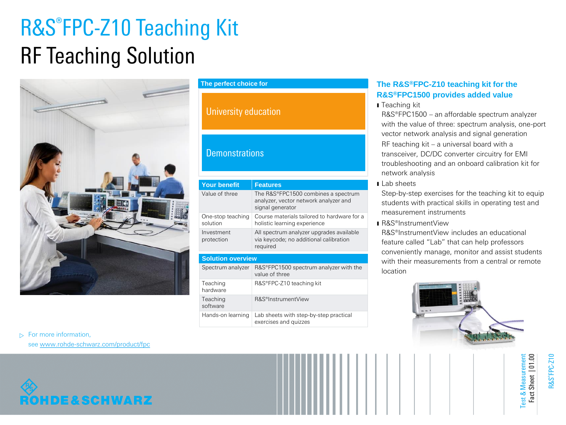## R&S®FPC-Z10 Teaching Kit RF Teaching Solution



#### **The perfect choice for**

### University education

#### **Demonstrations**

| <b>Your benefit</b>           | <b>Features</b>                                                                                  |  |
|-------------------------------|--------------------------------------------------------------------------------------------------|--|
| Value of three                | The R&S®FPC1500 combines a spectrum<br>analyzer, vector network analyzer and<br>signal generator |  |
| One-stop teaching<br>solution | Course materials tailored to hardware for a<br>holistic learning experience                      |  |
| Investment<br>protection      | All spectrum analyzer upgrades available<br>via keycode; no additional calibration<br>required   |  |
| <b>Solution overview</b>      |                                                                                                  |  |
| Spectrum analyzer             | R&S®FPC1500 spectrum analyzer with the<br>value of three                                         |  |
| Teaching<br>hardware          | R&S®FPC-Z10 teaching kit                                                                         |  |
| Teaching<br>software          | R&S®InstrumentView                                                                               |  |
| Hands-on learning             | Lab sheets with step-by-step practical<br>exercises and quizzes                                  |  |

#### **The R&S®FPC-Z10 teaching kit for the R&S®FPC1500 provides added value**

ı Teaching kit

R&S®FPC1500 – an affordable spectrum analyzer with the value of three: spectrum analysis, one-port vector network analysis and signal generation RF teaching kit – a universal board with a transceiver, DC/DC converter circuitry for EMI troubleshooting and an onboard calibration kit for network analysis

**Lab** sheets

Step-by-step exercises for the teaching kit to equip students with practical skills in operating test and measurement instruments

ı R&S®InstrumentView

R&S®InstrumentView includes an educational feature called "Lab" that can help professors conveniently manage, monitor and assist students with their measurements from a central or remote location



 $\triangleright$  For more information,

see [www.rohde-schwarz.com/product/fpc](http://www.rohde-schwarz.com/product/fpc)

# ROHDE&SCHWARZ

R&S ®FPC-Z10

Test & Measurement Fact Sheet | 01.00

 $\overline{\bullet}$ 

est

Fact Sheet | 01.00 Measuremer